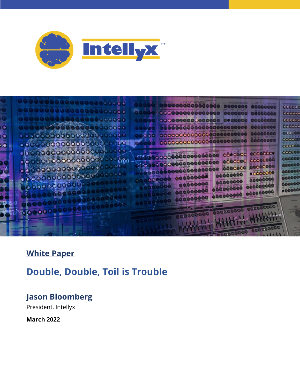



# **White Paper**

# **Double, Double, Toil is Trouble**

# **Jason Bloomberg**

President, Intellyx

**March 2022**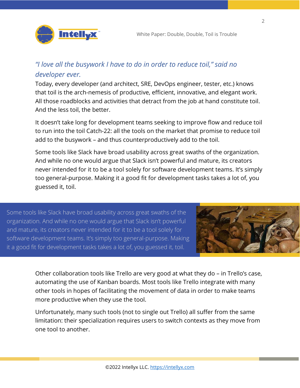

#### *"I love all the busywork I have to do in order to reduce toil," said no developer ever.*

Today, every developer (and architect, SRE, DevOps engineer, tester, etc.) knows that toil is the arch-nemesis of productive, efficient, innovative, and elegant work. All those roadblocks and activities that detract from the job at hand constitute toil. And the less toil, the better.

It doesn't take long for development teams seeking to improve flow and reduce toil to run into the toil Catch-22: all the tools on the market that promise to reduce toil add to the busywork – and thus counterproductively add to the toil.

Some tools like Slack have broad usability across great swaths of the organization. And while no one would argue that Slack isn't powerful and mature, its creators never intended for it to be a tool solely for software development teams. It's simply too general-purpose. Making it a good fit for development tasks takes a lot of, you guessed it, toil.

Some tools like Slack have broad usability across great swaths of the organization. And while no one would argue that Slack isn't powerful and mature, its creators never intended for it to be a tool solely for software development teams. It's simply too general-purpose. Making it a good fit for development tasks takes a lot of, you guessed it, toil.



Other collaboration tools like Trello are very good at what they do – in Trello's case, automating the use of Kanban boards. Most tools like Trello integrate with many other tools in hopes of facilitating the movement of data in order to make teams more productive when they use the tool.

Unfortunately, many such tools (not to single out Trello) all suffer from the same limitation: their specialization requires users to switch contexts as they move from one tool to another.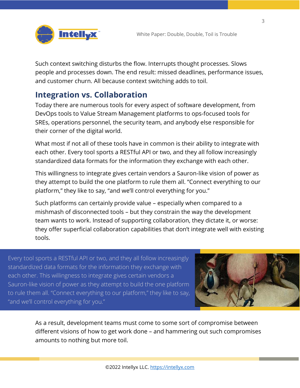

Such context switching disturbs the flow. Interrupts thought processes. Slows people and processes down. The end result: missed deadlines, performance issues, and customer churn. All because context switching adds to toil.

# **Integration vs. Collaboration**

Today there are numerous tools for every aspect of software development, from DevOps tools to Value Stream Management platforms to ops-focused tools for SREs, operations personnel, the security team, and anybody else responsible for their corner of the digital world.

What most if not all of these tools have in common is their ability to integrate with each other. Every tool sports a RESTful API or two, and they all follow increasingly standardized data formats for the information they exchange with each other.

This willingness to integrate gives certain vendors a Sauron-like vision of power as they attempt to build the one platform to rule them all. "Connect everything to our platform," they like to say, "and we'll control everything for you."

Such platforms can certainly provide value – especially when compared to a mishmash of disconnected tools – but they constrain the way the development team wants to work. Instead of supporting collaboration, they dictate it, or worse: they offer superficial collaboration capabilities that don't integrate well with existing tools.

Every tool sports a RESTful API or two, and they all follow increasingly standardized data formats for the information they exchange with each other. This willingness to integrate gives certain vendors a Sauron-like vision of power as they attempt to build the one platform to rule them all. "Connect everything to our platform," they like to say, "and we'll control everything for you."



As a result, development teams must come to some sort of compromise between different visions of how to get work done – and hammering out such compromises amounts to nothing but more toil.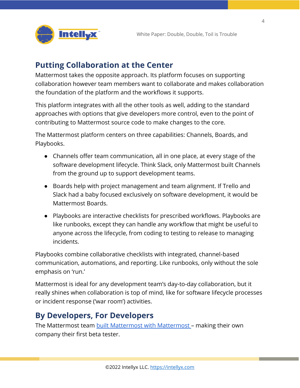

#### **Putting Collaboration at the Center**

Mattermost takes the opposite approach. Its platform focuses on supporting collaboration however team members want to collaborate and makes collaboration the foundation of the platform and the workflows it supports.

This platform integrates with all the other tools as well, adding to the standard approaches with options that give developers more control, even to the point of contributing to Mattermost source code to make changes to the core.

The Mattermost platform centers on three capabilities: Channels, Boards, and Playbooks.

- Channels offer team communication, all in one place, at every stage of the software development lifecycle. Think Slack, only Mattermost built Channels from the ground up to support development teams.
- Boards help with project management and team alignment. If Trello and Slack had a baby focused exclusively on software development, it would be Mattermost Boards.
- Playbooks are interactive checklists for prescribed workflows. Playbooks are like runbooks, except they can handle any workflow that might be useful to anyone across the lifecycle, from coding to testing to release to managing incidents.

Playbooks combine collaborative checklists with integrated, channel-based communication, automations, and reporting. Like runbooks, only without the sole emphasis on 'run.'

Mattermost is ideal for any development team's day-to-day collaboration, but it really shines when collaboration is top of mind, like for software lifecycle processes or incident response ('war room') activities.

# **By Developers, For Developers**

The Mattermost team [built Mattermost with Mattermost](https://mattermost.com/blog/use-mattermost-to-build-mattermost/) – making their own company their first beta tester.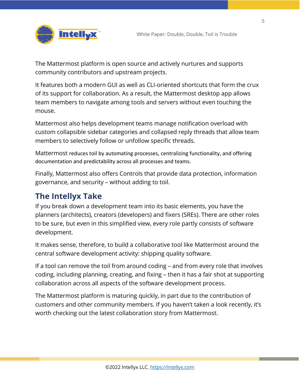

The Mattermost platform is open source and actively nurtures and supports community contributors and upstream projects.

It features both a modern GUI as well as CLI-oriented shortcuts that form the crux of its support for collaboration. As a result, the Mattermost desktop app allows team members to navigate among tools and servers without even touching the mouse.

Mattermost also helps development teams manage notification overload with custom collapsible sidebar categories and collapsed reply threads that allow team members to selectively follow or unfollow specific threads.

Mattermost reduces toil by automating processes, centralizing functionality, and offering documentation and predictability across all processes and teams.

Finally, Mattermost also offers Controls that provide data protection, information governance, and security – without adding to toil.

# **The Intellyx Take**

If you break down a development team into its basic elements, you have the planners (architects), creators (developers) and fixers (SREs). There are other roles to be sure, but even in this simplified view, every role partly consists of software development.

It makes sense, therefore, to build a collaborative tool like Mattermost around the central software development activity: shipping quality software.

If a tool can remove the toil from around coding – and from every role that involves coding, including planning, creating, and fixing – then it has a fair shot at supporting collaboration across all aspects of the software development process.

The Mattermost platform is maturing quickly, in part due to the contribution of customers and other community members. If you haven't taken a look recently, it's worth checking out the latest collaboration story from Mattermost.